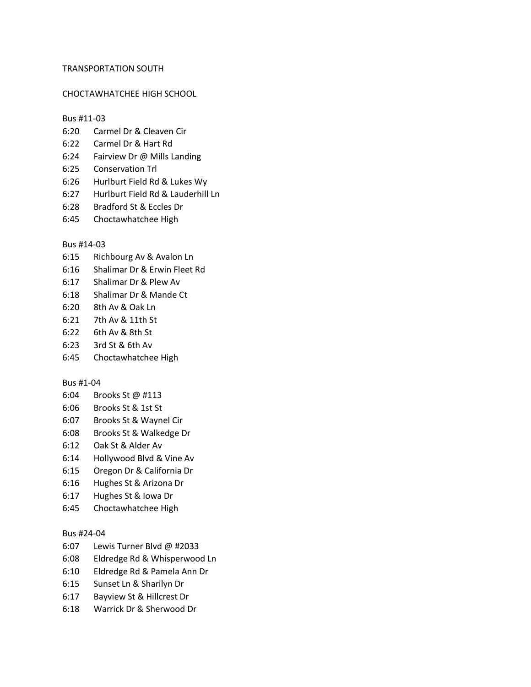### TRANSPORTATION SOUTH

## CHOCTAWHATCHEE HIGH SCHOOL

#### Bus #11-03

- 6:20 Carmel Dr & Cleaven Cir
- 6:22 Carmel Dr & Hart Rd
- 6:24 Fairview Dr @ Mills Landing
- 6:25 Conservation Trl
- 6:26 Hurlburt Field Rd & Lukes Wy
- 6:27 Hurlburt Field Rd & Lauderhill Ln
- 6:28 Bradford St & Eccles Dr
- 6:45 Choctawhatchee High

## Bus #14-03

- 6:15 Richbourg Av & Avalon Ln
- 6:16 Shalimar Dr & Erwin Fleet Rd
- 6:17 Shalimar Dr & Plew Av
- 6:18 Shalimar Dr & Mande Ct
- 6:20 8th Av & Oak Ln
- 6:21 7th Av & 11th St
- 6:22 6th Av & 8th St
- 6:23 3rd St & 6th Av
- 6:45 Choctawhatchee High

#### Bus #1-04

- 6:04 Brooks St @ #113
- 6:06 Brooks St & 1st St
- 6:07 Brooks St & Waynel Cir
- 6:08 Brooks St & Walkedge Dr
- 6:12 Oak St & Alder Av
- 6:14 Hollywood Blvd & Vine Av
- 6:15 Oregon Dr & California Dr
- 6:16 Hughes St & Arizona Dr
- 6:17 Hughes St & Iowa Dr
- 6:45 Choctawhatchee High

#### Bus #24-04

- 6:07 Lewis Turner Blvd @ #2033
- 6:08 Eldredge Rd & Whisperwood Ln
- 6:10 Eldredge Rd & Pamela Ann Dr
- 6:15 Sunset Ln & Sharilyn Dr
- 6:17 Bayview St & Hillcrest Dr
- 6:18 Warrick Dr & Sherwood Dr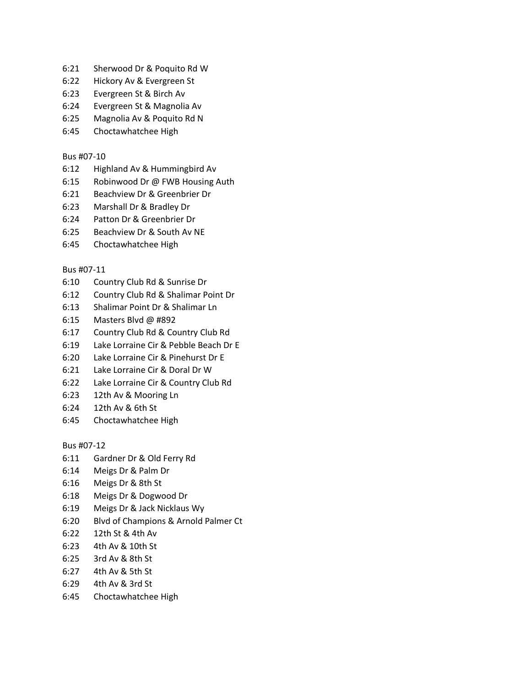- 6:21 Sherwood Dr & Poquito Rd W
- 6:22 Hickory Av & Evergreen St
- 6:23 Evergreen St & Birch Av
- 6:24 Evergreen St & Magnolia Av
- 6:25 Magnolia Av & Poquito Rd N
- 6:45 Choctawhatchee High

# Bus #07-10

- 6:12 Highland Av & Hummingbird Av
- 6:15 Robinwood Dr @ FWB Housing Auth
- 6:21 Beachview Dr & Greenbrier Dr
- 6:23 Marshall Dr & Bradley Dr
- 6:24 Patton Dr & Greenbrier Dr
- 6:25 Beachview Dr & South Av NE
- 6:45 Choctawhatchee High

# Bus #07-11

- 6:10 Country Club Rd & Sunrise Dr
- 6:12 Country Club Rd & Shalimar Point Dr
- 6:13 Shalimar Point Dr & Shalimar Ln
- 6:15 Masters Blvd @ #892
- 6:17 Country Club Rd & Country Club Rd
- 6:19 Lake Lorraine Cir & Pebble Beach Dr E
- 6:20 Lake Lorraine Cir & Pinehurst Dr E
- 6:21 Lake Lorraine Cir & Doral Dr W
- 6:22 Lake Lorraine Cir & Country Club Rd
- 6:23 12th Av & Mooring Ln
- 6:24 12th Av & 6th St
- 6:45 Choctawhatchee High

Bus #07-12

- 6:11 Gardner Dr & Old Ferry Rd
- 6:14 Meigs Dr & Palm Dr
- 6:16 Meigs Dr & 8th St
- 6:18 Meigs Dr & Dogwood Dr
- 6:19 Meigs Dr & Jack Nicklaus Wy
- 6:20 Blvd of Champions & Arnold Palmer Ct
- 6:22 12th St & 4th Av
- 6:23 4th Av & 10th St
- 6:25 3rd Av & 8th St
- 6:27 4th Av & 5th St
- 6:29 4th Av & 3rd St
- 6:45 Choctawhatchee High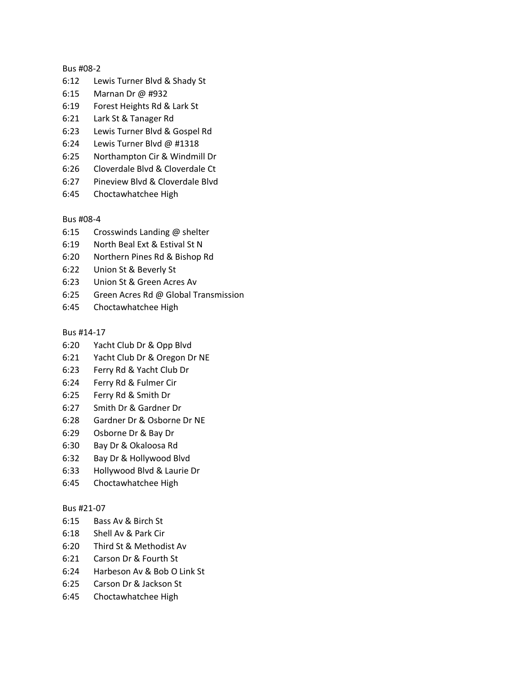# Bus #08-2

- 6:12 Lewis Turner Blvd & Shady St
- 6:15 Marnan Dr @ #932
- 6:19 Forest Heights Rd & Lark St
- 6:21 Lark St & Tanager Rd
- 6:23 Lewis Turner Blvd & Gospel Rd
- 6:24 Lewis Turner Blvd @ #1318
- 6:25 Northampton Cir & Windmill Dr
- 6:26 Cloverdale Blvd & Cloverdale Ct
- 6:27 Pineview Blvd & Cloverdale Blvd
- 6:45 Choctawhatchee High

# Bus #08-4

- 6:15 Crosswinds Landing @ shelter
- 6:19 North Beal Ext & Estival St N
- 6:20 Northern Pines Rd & Bishop Rd
- 6:22 Union St & Beverly St
- 6:23 Union St & Green Acres Av
- 6:25 Green Acres Rd @ Global Transmission
- 6:45 Choctawhatchee High

## Bus #14-17

- 6:20 Yacht Club Dr & Opp Blvd
- 6:21 Yacht Club Dr & Oregon Dr NE
- 6:23 Ferry Rd & Yacht Club Dr
- 6:24 Ferry Rd & Fulmer Cir
- 6:25 Ferry Rd & Smith Dr
- 6:27 Smith Dr & Gardner Dr
- 6:28 Gardner Dr & Osborne Dr NE
- 6:29 Osborne Dr & Bay Dr
- 6:30 Bay Dr & Okaloosa Rd
- 6:32 Bay Dr & Hollywood Blvd
- 6:33 Hollywood Blvd & Laurie Dr
- 6:45 Choctawhatchee High

# Bus #21-07

- 6:15 Bass Av & Birch St
- 6:18 Shell Av & Park Cir
- 6:20 Third St & Methodist Av
- 6:21 Carson Dr & Fourth St
- 6:24 Harbeson Av & Bob O Link St
- 6:25 Carson Dr & Jackson St
- 6:45 Choctawhatchee High